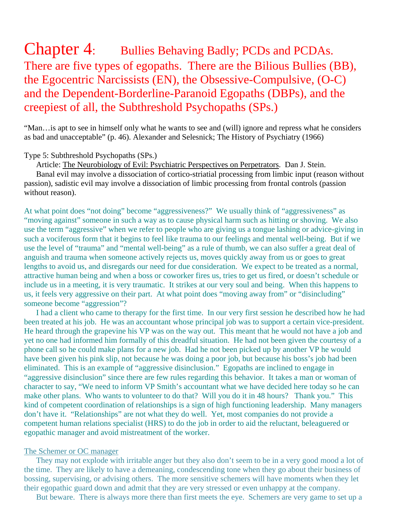# Chapter 4: Bullies Behaving Badly; PCDs and PCDAs. There are five types of egopaths. There are the Bilious Bullies (BB), the Egocentric Narcissists (EN), the Obsessive-Compulsive, (O-C) and the Dependent-Borderline-Paranoid Egopaths (DBPs), and the creepiest of all, the Subthreshold Psychopaths (SPs.)

"Man…is apt to see in himself only what he wants to see and (will) ignore and repress what he considers as bad and unacceptable" (p. 46). Alexander and Selesnick; The History of Psychiatry (1966)

# Type 5: Subthreshold Psychopaths (SPs.)

Article: The Neurobiology of Evil: Psychiatric Perspectives on Perpetrators. Dan J. Stein.

 Banal evil may involve a dissociation of cortico-striatial processing from limbic input (reason without passion), sadistic evil may involve a dissociation of limbic processing from frontal controls (passion without reason).

At what point does "not doing" become "aggressiveness?" We usually think of "aggressiveness" as "moving against" someone in such a way as to cause physical harm such as hitting or shoving. We also use the term "aggressive" when we refer to people who are giving us a tongue lashing or advice-giving in such a vociferous form that it begins to feel like trauma to our feelings and mental well-being. But if we use the level of "trauma" and "mental well-being" as a rule of thumb, we can also suffer a great deal of anguish and trauma when someone actively rejects us, moves quickly away from us or goes to great lengths to avoid us, and disregards our need for due consideration. We expect to be treated as a normal, attractive human being and when a boss or coworker fires us, tries to get us fired, or doesn't schedule or include us in a meeting, it is very traumatic. It strikes at our very soul and being. When this happens to us, it feels very aggressive on their part. At what point does "moving away from" or "disincluding" someone become "aggression"?

 I had a client who came to therapy for the first time. In our very first session he described how he had been treated at his job. He was an accountant whose principal job was to support a certain vice-president. He heard through the grapevine his VP was on the way out. This meant that he would not have a job and yet no one had informed him formally of this dreadful situation. He had not been given the courtesy of a phone call so he could make plans for a new job. Had he not been picked up by another VP he would have been given his pink slip, not because he was doing a poor job, but because his boss's job had been eliminated. This is an example of "aggressive disinclusion." Egopaths are inclined to engage in "aggressive disinclusion" since there are few rules regarding this behavior. It takes a man or woman of character to say, "We need to inform VP Smith's accountant what we have decided here today so he can make other plans. Who wants to volunteer to do that? Will you do it in 48 hours? Thank you." This kind of competent coordination of relationships is a sign of high functioning leadership. Many managers don't have it. "Relationships" are not what they do well. Yet, most companies do not provide a competent human relations specialist (HRS) to do the job in order to aid the reluctant, beleaguered or egopathic manager and avoid mistreatment of the worker.

# The Schemer or OC manager

 They may not explode with irritable anger but they also don't seem to be in a very good mood a lot of the time. They are likely to have a demeaning, condescending tone when they go about their business of bossing, supervising, or advising others. The more sensitive schemers will have moments when they let their egopathic guard down and admit that they are very stressed or even unhappy at the company.

But beware. There is always more there than first meets the eye. Schemers are very game to set up a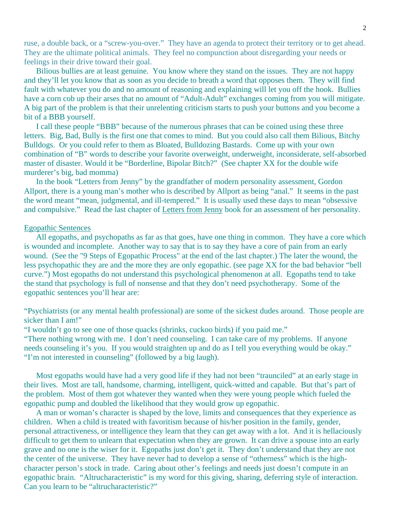ruse, a double back, or a "screw-you-over." They have an agenda to protect their territory or to get ahead. They are the ultimate political animals. They feel no compunction about disregarding your needs or feelings in their drive toward their goal.

 Bilious bullies are at least genuine. You know where they stand on the issues. They are not happy and they'll let you know that as soon as you decide to breath a word that opposes them. They will find fault with whatever you do and no amount of reasoning and explaining will let you off the hook. Bullies have a corn cob up their arses that no amount of "Adult-Adult" exchanges coming from you will mitigate. A big part of the problem is that their unrelenting criticism starts to push your buttons and you become a bit of a BBB yourself.

 I call these people "BBB" because of the numerous phrases that can be coined using these three letters. Big, Bad, Bully is the first one that comes to mind. But you could also call them Bilious, Bitchy Bulldogs. Or you could refer to them as Bloated, Bulldozing Bastards. Come up with your own combination of "B" words to describe your favorite overweight, underweight, inconsiderate, self-absorbed master of disaster. Would it be "Borderline, Bipolar Bitch?" (See chapter XX for the double wife murderer's big, bad momma)

 In the book "Letters from Jenny" by the grandfather of modern personality assessment, Gordon Allport, there is a young man's mother who is described by Allport as being "anal." It seems in the past the word meant "mean, judgmental, and ill-tempered." It is usually used these days to mean "obsessive and compulsive." Read the last chapter of Letters from Jenny book for an assessment of her personality.

#### Egopathic Sentences

 All egopaths, and psychopaths as far as that goes, have one thing in common. They have a core which is wounded and incomplete. Another way to say that is to say they have a core of pain from an early wound. (See the "9 Steps of Egopathic Process" at the end of the last chapter.) The later the wound, the less psychopathic they are and the more they are only egopathic. (see page XX for the bad behavior "bell curve.") Most egopaths do not understand this psychological phenomenon at all. Egopaths tend to take the stand that psychology is full of nonsense and that they don't need psychotherapy. Some of the egopathic sentences you'll hear are:

"Psychiatrists (or any mental health professional) are some of the sickest dudes around. Those people are sicker than I am!"

"I wouldn't go to see one of those quacks (shrinks, cuckoo birds) if you paid me."

"There nothing wrong with me. I don't need counseling. I can take care of my problems. If anyone needs counseling it's you. If you would straighten up and do as I tell you everything would be okay." "I'm not interested in counseling" (followed by a big laugh).

 Most egopaths would have had a very good life if they had not been "traunciled" at an early stage in their lives. Most are tall, handsome, charming, intelligent, quick-witted and capable. But that's part of the problem. Most of them got whatever they wanted when they were young people which fueled the egopathic pump and doubled the likelihood that they would grow up egopathic.

 A man or woman's character is shaped by the love, limits and consequences that they experience as children. When a child is treated with favoritism because of his/her position in the family, gender, personal attractiveness, or intelligence they learn that they can get away with a lot. And it is hellaciously difficult to get them to unlearn that expectation when they are grown. It can drive a spouse into an early grave and no one is the wiser for it. Egopaths just don't get it. They don't understand that they are not the center of the universe. They have never had to develop a sense of "otherness" which is the highcharacter person's stock in trade. Caring about other's feelings and needs just doesn't compute in an egopathic brain. "Altrucharacteristic" is my word for this giving, sharing, deferring style of interaction. Can you learn to be "altrucharacteristic?"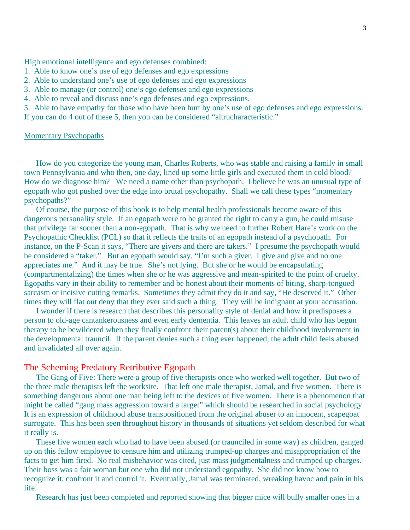High emotional intelligence and ego defenses combined:

- 1. Able to know one's use of ego defenses and ego expressions
- 2. Able to understand one's use of ego defenses and ego expressions
- 3. Able to manage (or control) one's ego defenses and ego expressions
- 4. Able to reveal and discuss one's ego defenses and ego expressions.

5. Able to have empathy for those who have been hurt by one's use of ego defenses and ego expressions. If you can do 4 out of these 5, then you can be considered "altrucharacteristic."

#### Momentary Psychopaths

 How do you categorize the young man, Charles Roberts, who was stable and raising a family in small town Pennsylvania and who then, one day, lined up some little girls and executed them in cold blood? How do we diagnose him? We need a name other than psychopath. I believe he was an unusual type of egopath who got pushed over the edge into brutal psychopathy. Shall we call these types "momentary psychopaths?"

 Of course, the purpose of this book is to help mental health professionals become aware of this dangerous personality style. If an egopath were to be granted the right to carry a gun, he could misuse that privilege far sooner than a non-egopath. That is why we need to further Robert Hare's work on the Psychopathic Checklist (PCL) so that it reflects the traits of an egopath instead of a psychopath. For instance, on the P-Scan it says, "There are givers and there are takers." I presume the psychopath would be considered a "taker." But an egopath would say, "I'm such a giver. I give and give and no one appreciates me." And it may be true. She's not lying. But she or he would be encapsulating (compartmentalizing) the times when she or he was aggressive and mean-spirited to the point of cruelty. Egopaths vary in their ability to remember and be honest about their moments of biting, sharp-tongued sarcasm or incisive cutting remarks. Sometimes they admit they do it and say, "He deserved it." Other times they will flat out deny that they ever said such a thing. They will be indignant at your accusation.

 I wonder if there is research that describes this personality style of denial and how it predisposes a person to old-age cantankerousness and even early dementia. This leaves an adult child who has begun therapy to be bewildered when they finally confront their parent(s) about their childhood involvement in the developmental trauncil. If the parent denies such a thing ever happened, the adult child feels abused and invalidated all over again.

## The Scheming Predatory Retributive Egopath

The Gang of Five: There were a group of five therapists once who worked well together. But two of the three male therapists left the worksite. That left one male therapist, Jamal, and five women. There is something dangerous about one man being left to the devices of five women. There is a phenomenon that might be called "gang mass aggression toward a target" which should be researched in social psychology. It is an expression of childhood abuse transpositioned from the original abuser to an innocent, scapegoat surrogate. This has been seen throughout history in thousands of situations yet seldom described for what it really is.

These five women each who had to have been abused (or traunciled in some way) as children, ganged up on this fellow employee to censure him and utilizing trumped-up charges and misappropriation of the facts to get him fired. No real misbehavior was cited, just mass judgmentalness and trumped up charges. Their boss was a fair woman but one who did not understand egopathy. She did not know how to recognize it, confront it and control it. Eventually, Jamal was terminated, wreaking havoc and pain in his life.

Research has just been completed and reported showing that bigger mice will bully smaller ones in a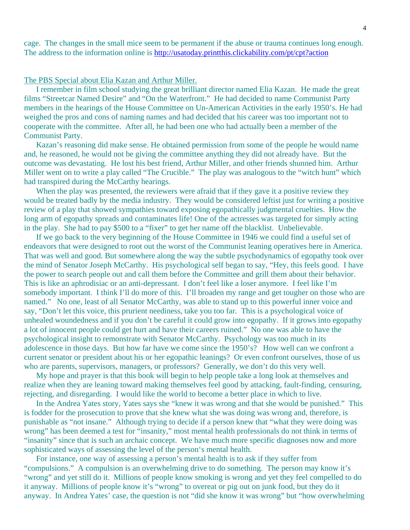cage. The changes in the small mice seem to be permanent if the abuse or trauma continues long enough. The address to the information online is http://usatoday.printthis.clickability.com/pt/cpt?action

## The PBS Special about Elia Kazan and Arthur Miller.

 I remember in film school studying the great brilliant director named Elia Kazan. He made the great films "Streetcar Named Desire" and "On the Waterfront." He had decided to name Communist Party members in the hearings of the House Committee on Un-American Activities in the early 1950's. He had weighed the pros and cons of naming names and had decided that his career was too important not to cooperate with the committee. After all, he had been one who had actually been a member of the Communist Party.

 Kazan's reasoning did make sense. He obtained permission from some of the people he would name and, he reasoned, he would not be giving the committee anything they did not already have. But the outcome was devastating. He lost his best friend, Arthur Miller, and other friends shunned him. Arthur Miller went on to write a play called "The Crucible." The play was analogous to the "witch hunt" which had transpired during the McCarthy hearings.

When the play was presented, the reviewers were afraid that if they gave it a positive review they would be treated badly by the media industry. They would be considered leftist just for writing a positive review of a play that showed sympathies toward exposing egopathically judgmental cruelties. How the long arm of egopathy spreads and contaminates life! One of the actresses was targeted for simply acting in the play. She had to pay \$500 to a "fixer" to get her name off the blacklist. Unbelievable.

 If we go back to the very beginning of the House Committee in 1946 we could find a useful set of endeavors that were designed to root out the worst of the Communist leaning operatives here in America. That was well and good. But somewhere along the way the subtle psychodynamics of egopathy took over the mind of Senator Joseph McCarthy. His psychological self began to say, "Hey, this feels good. I have the power to search people out and call them before the Committee and grill them about their behavior. This is like an aphrodisiac or an anti-depressant. I don't feel like a loser anymore. I feel like I'm somebody important. I think I'll do more of this. I'll broaden my range and get tougher on those who are named." No one, least of all Senator McCarthy, was able to stand up to this powerful inner voice and say, "Don't let this voice, this prurient neediness, take you too far. This is a psychological voice of unhealed woundedness and if you don't be careful it could grow into egopathy. If it grows into egopathy a lot of innocent people could get hurt and have their careers ruined." No one was able to have the psychological insight to remonstrate with Senator McCarthy. Psychology was too much in its adolescence in those days. But how far have we come since the 1950's? How well can we confront a current senator or president about his or her egopathic leanings? Or even confront ourselves, those of us who are parents, supervisors, managers, or professors? Generally, we don't do this very well.

 My hope and prayer is that this book will begin to help people take a long look at themselves and realize when they are leaning toward making themselves feel good by attacking, fault-finding, censuring, rejecting, and disregarding. I would like the world to become a better place in which to live.

 In the Andrea Yates story, Yates says she "knew it was wrong and that she would be punished." This is fodder for the prosecution to prove that she knew what she was doing was wrong and, therefore, is punishable as "not insane." Although trying to decide if a person knew that "what they were doing was wrong" has been deemed a test for "insanity," most mental health professionals do not think in terms of "insanity" since that is such an archaic concept. We have much more specific diagnoses now and more sophisticated ways of assessing the level of the person's mental health.

 For instance, one way of assessing a person's mental health is to ask if they suffer from "compulsions." A compulsion is an overwhelming drive to do something. The person may know it's "wrong" and yet still do it. Millions of people know smoking is wrong and yet they feel compelled to do it anyway. Millions of people know it's "wrong" to overeat or pig out on junk food, but they do it anyway. In Andrea Yates' case, the question is not "did she know it was wrong" but "how overwhelming